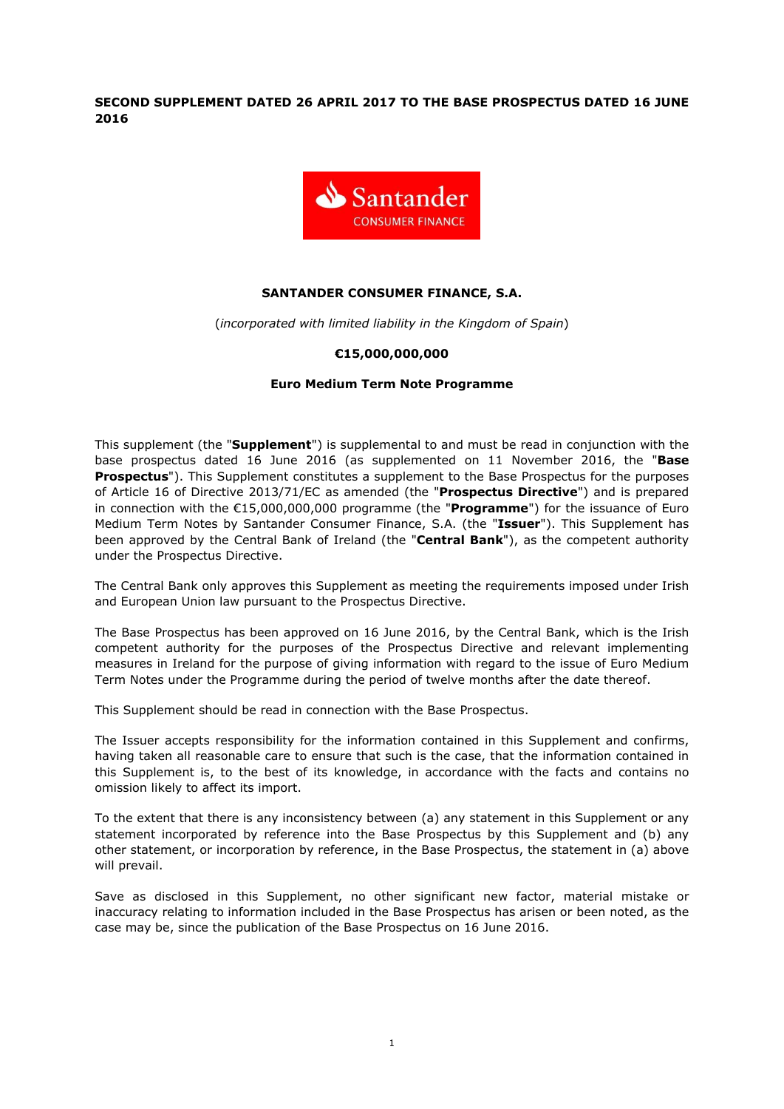**SECOND SUPPLEMENT DATED 26 APRIL 2017 TO THE BASE PROSPECTUS DATED 16 JUNE 2016**



# **SANTANDER CONSUMER FINANCE, S.A.**

(*incorporated with limited liability in the Kingdom of Spain*)

## **€15,000,000,000**

## **Euro Medium Term Note Programme**

This supplement (the "**Supplement**") is supplemental to and must be read in conjunction with the base prospectus dated 16 June 2016 (as supplemented on 11 November 2016, the "**Base Prospectus**"). This Supplement constitutes a supplement to the Base Prospectus for the purposes of Article 16 of Directive 2013/71/EC as amended (the "**Prospectus Directive**") and is prepared in connection with the €15,000,000,000 programme (the "**Programme**") for the issuance of Euro Medium Term Notes by Santander Consumer Finance, S.A. (the "**Issuer**"). This Supplement has been approved by the Central Bank of Ireland (the "**Central Bank**"), as the competent authority under the Prospectus Directive.

The Central Bank only approves this Supplement as meeting the requirements imposed under Irish and European Union law pursuant to the Prospectus Directive.

The Base Prospectus has been approved on 16 June 2016, by the Central Bank, which is the Irish competent authority for the purposes of the Prospectus Directive and relevant implementing measures in Ireland for the purpose of giving information with regard to the issue of Euro Medium Term Notes under the Programme during the period of twelve months after the date thereof.

This Supplement should be read in connection with the Base Prospectus.

The Issuer accepts responsibility for the information contained in this Supplement and confirms, having taken all reasonable care to ensure that such is the case, that the information contained in this Supplement is, to the best of its knowledge, in accordance with the facts and contains no omission likely to affect its import.

To the extent that there is any inconsistency between (a) any statement in this Supplement or any statement incorporated by reference into the Base Prospectus by this Supplement and (b) any other statement, or incorporation by reference, in the Base Prospectus, the statement in (a) above will prevail.

Save as disclosed in this Supplement, no other significant new factor, material mistake or inaccuracy relating to information included in the Base Prospectus has arisen or been noted, as the case may be, since the publication of the Base Prospectus on 16 June 2016.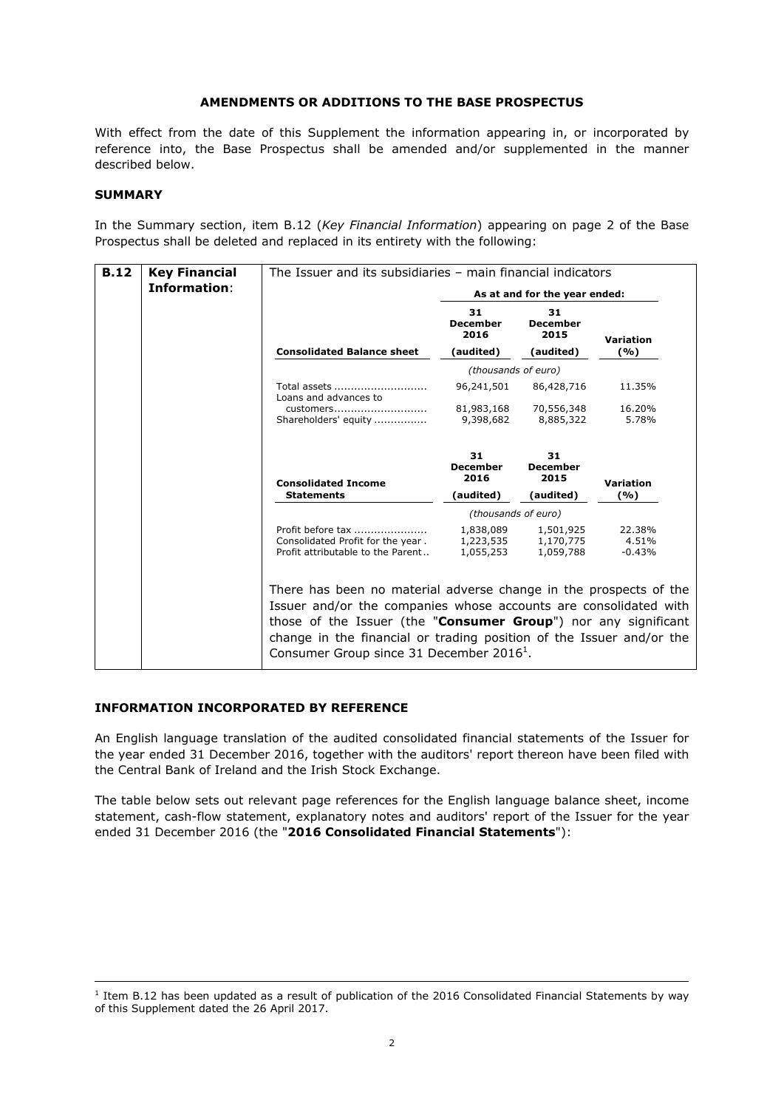# **AMENDMENTS OR ADDITIONS TO THE BASE PROSPECTUS**

With effect from the date of this Supplement the information appearing in, or incorporated by reference into, the Base Prospectus shall be amended and/or supplemented in the manner described below.

#### **SUMMARY**

-

In the Summary section, item B.12 (*Key Financial Information*) appearing on page 2 of the Base Prospectus shall be deleted and replaced in its entirety with the following:

| <b>B.12</b> | <b>Key Financial</b> | The Issuer and its subsidiaries - main financial indicators            |                                                                                                                                                                                                                                                                                 |                               |                   |
|-------------|----------------------|------------------------------------------------------------------------|---------------------------------------------------------------------------------------------------------------------------------------------------------------------------------------------------------------------------------------------------------------------------------|-------------------------------|-------------------|
|             | Information:         |                                                                        | As at and for the year ended:                                                                                                                                                                                                                                                   |                               |                   |
|             |                      |                                                                        | 31<br><b>December</b><br>2016                                                                                                                                                                                                                                                   | 31<br><b>December</b><br>2015 | Variation         |
|             |                      | <b>Consolidated Balance sheet</b>                                      | (audited)                                                                                                                                                                                                                                                                       | (audited)                     | (%)               |
|             |                      |                                                                        | (thousands of euro)                                                                                                                                                                                                                                                             |                               |                   |
|             |                      | Total assets<br>Loans and advances to                                  | 96,241,501                                                                                                                                                                                                                                                                      | 86,428,716                    | 11.35%            |
|             |                      | customers                                                              | 81,983,168                                                                                                                                                                                                                                                                      | 70,556,348                    | 16.20%            |
|             |                      | Shareholders' equity                                                   | 9,398,682                                                                                                                                                                                                                                                                       | 8,885,322                     | 5.78%             |
|             |                      | <b>Consolidated Income</b>                                             | 31<br><b>December</b><br>2016                                                                                                                                                                                                                                                   | 31<br><b>December</b><br>2015 | Variation         |
|             |                      | <b>Statements</b>                                                      | (audited)                                                                                                                                                                                                                                                                       | (audited)                     | (%)               |
|             |                      |                                                                        |                                                                                                                                                                                                                                                                                 | (thousands of euro)           |                   |
|             |                      | Profit before tax                                                      | 1,838,089                                                                                                                                                                                                                                                                       | 1,501,925                     | 22.38%            |
|             |                      | Consolidated Profit for the year.<br>Profit attributable to the Parent | 1,223,535<br>1,055,253                                                                                                                                                                                                                                                          | 1,170,775<br>1,059,788        | 4.51%<br>$-0.43%$ |
|             |                      | Consumer Group since 31 December 2016 <sup>1</sup> .                   | There has been no material adverse change in the prospects of the<br>Issuer and/or the companies whose accounts are consolidated with<br>those of the Issuer (the "Consumer Group") nor any significant<br>change in the financial or trading position of the Issuer and/or the |                               |                   |

## **INFORMATION INCORPORATED BY REFERENCE**

An English language translation of the audited consolidated financial statements of the Issuer for the year ended 31 December 2016, together with the auditors' report thereon have been filed with the Central Bank of Ireland and the Irish Stock Exchange.

The table below sets out relevant page references for the English language balance sheet, income statement, cash-flow statement, explanatory notes and auditors' report of the Issuer for the year ended 31 December 2016 (the "**2016 Consolidated Financial Statements**"):

<sup>&</sup>lt;sup>1</sup> Item B.12 has been updated as a result of publication of the 2016 Consolidated Financial Statements by way of this Supplement dated the 26 April 2017.